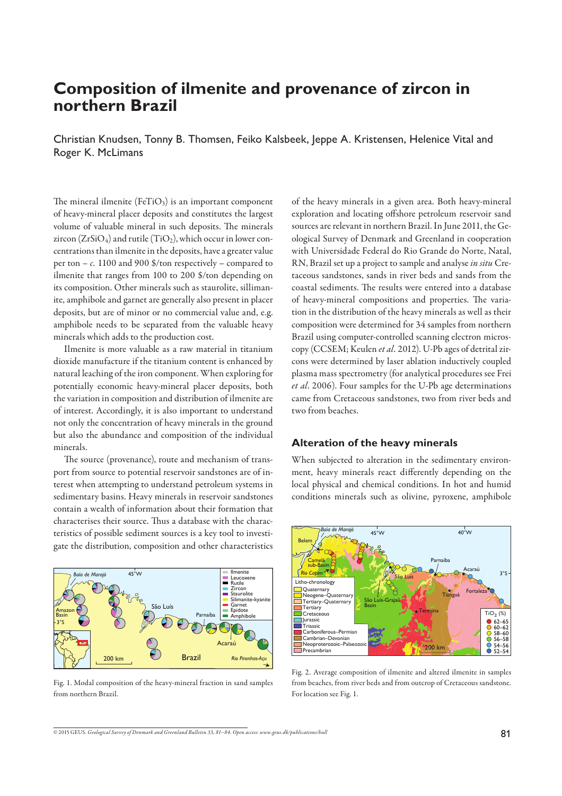# **Composition of ilmenite and provenance of zircon in northern Brazil**

Christian Knudsen, Tonny B. Thomsen, Feiko Kalsbeek, Jeppe A. Kristensen, Helenice Vital and Roger K. McLimans

The mineral ilmenite ( $F \in TiO<sub>3</sub>$ ) is an important component of heavy-mineral placer deposits and constitutes the largest volume of valuable mineral in such deposits. The minerals zircon  $(ZrSiO<sub>4</sub>)$  and rutile  $(TiO<sub>2</sub>)$ , which occur in lower concentrations than ilmenite in the deposits, have a greater value per ton  $- c$ . 1100 and 900 \$/ton respectively – compared to ilmenite that ranges from 100 to 200 \$/ton depending on its composition. Other minerals such as staurolite, sillimanite, amphibole and garnet are generally also present in placer deposits, but are of minor or no commercial value and, e.g. amphibole needs to be separated from the valuable heavy minerals which adds to the production cost.

 Ilmenite is more valuable as a raw material in titanium dioxide manufacture if the titanium content is enhanced by natural leaching of the iron component. When exploring for potentially economic heavy-mineral placer deposits, both the variation in composition and distribution of ilmenite are of interest. Accordingly, it is also important to understand not only the concentration of heavy minerals in the ground but also the abundance and composition of the individual minerals.

The source (provenance), route and mechanism of transport from source to potential reservoir sandstones are of interest when attempting to understand petroleum systems in sedimentary basins. Heavy minerals in reservoir sandstones contain a wealth of information about their formation that characterises their source. Thus a database with the characteristics of possible sediment sources is a key tool to investigate the distribution, composition and other characteristics



Fig. 1. Modal composition of the heavy-mineral fraction in sand samples from northern Brazil.

of the heavy minerals in a given area. Both heavy-mineral exploration and locating offshore petroleum reservoir sand sources are relevant in northern Brazil. In June 2011, the Geological Survey of Denmark and Greenland in cooperation with Universidade Federal do Rio Grande do Norte, Natal, RN, Brazil set up a project to sample and analyse *in situ* Cretaceous sandstones, sands in river beds and sands from the coastal sediments. The results were entered into a database of heavy-mineral compositions and properties. The variation in the distribution of the heavy minerals as well as their composition were determined for 34 samples from northern Brazil using computer-controlled scanning electron microscopy (CCSEM; Keulen *et al.* 2012). U-Pb ages of detrital zircons were determined by laser ablation inductively coupled plasma mass spectrometry (for analytical procedures see Frei *et al*. 2006). Four samples for the U-Pb age determinations came from Cretaceous sandstones, two from river beds and two from beaches.

### **Alteration of the heavy minerals**

When subjected to alteration in the sedimentary environment, heavy minerals react differently depending on the local physical and chemical conditions. In hot and humid conditions minerals such as olivine, pyroxene, amphibole



Fig. 2. Average composition of ilmenite and altered ilmenite in samples from beaches, from river beds and from outcrop of Cretaceous sandstone. For location see Fig. 1.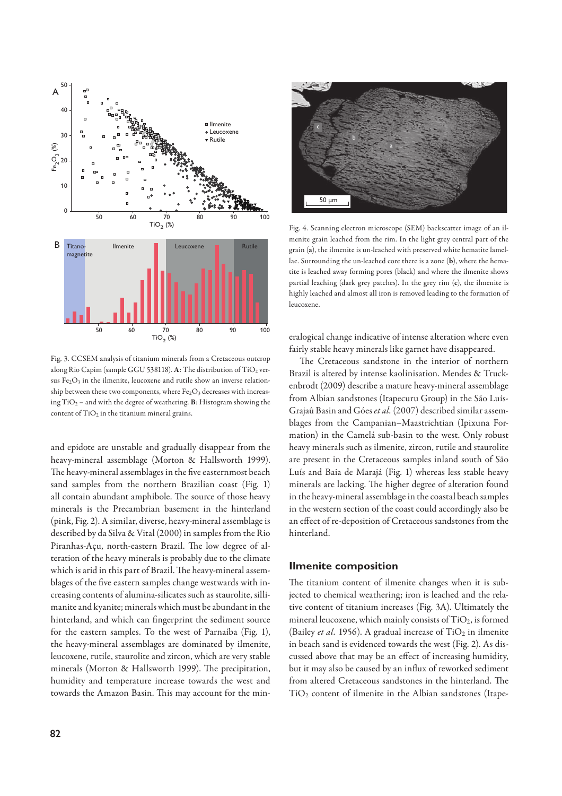

Fig. 3. CCSEM analysis of titanium minerals from a Cretaceous outcrop along Rio Capim (sample GGU 538118). A: The distribution of TiO<sub>2</sub> versus  $Fe<sub>2</sub>O<sub>3</sub>$  in the ilmenite, leucoxene and rutile show an inverse relationship between these two components, where  $Fe<sub>2</sub>O<sub>3</sub>$  decreases with increasing TiO2 – and with the degree of weathering. **B**: Histogram showing the content of  $TiO<sub>2</sub>$  in the titanium mineral grains.

and epidote are unstable and gradually disappear from the heavy-mineral assemblage (Morton & Hallsworth 1999). The heavy-mineral assemblages in the five easternmost beach sand samples from the northern Brazilian coast (Fig. 1) all contain abundant amphibole. The source of those heavy minerals is the Precambrian basement in the hinterland (pink, Fig. 2). A similar, diverse, heavy-mineral assemblage is described by da Silva & Vital (2000) in samples from the Rio Piranhas-Açu, north-eastern Brazil. The low degree of alteration of the heavy minerals is probably due to the climate which is arid in this part of Brazil. The heavy-mineral assemblages of the five eastern samples change westwards with increasing contents of alumina-silicates such as staurolite, sillimanite and kyanite; minerals which must be abundant in the hinterland, and which can fingerprint the sediment source for the eastern samples. To the west of Parnaíba (Fig. 1), the heavy-mineral assemblages are dominated by ilmenite, leucoxene, rutile, staurolite and zircon, which are very stable minerals (Morton & Hallsworth 1999). The precipitation, humidity and temperature increase towards the west and towards the Amazon Basin. This may account for the min-



Fig. 4. Scanning electron microscope (SEM) backscatter image of an ilmenite grain leached from the rim. In the light grey central part of the grain (**a**), the ilmenite is un-leached with preserved white hematite lamellae. Surrounding the un-leached core there is a zone (**b**), where the hematite is leached away forming pores (black) and where the ilmenite shows partial leaching (dark grey patches). In the grey rim (**c**), the ilmenite is highly leached and almost all iron is removed leading to the formation of leucoxene.

eralogical change indicative of intense alteration where even fairly stable heavy minerals like garnet have disappeared.

The Cretaceous sandstone in the interior of northern Brazil is altered by intense kaolinisation. Mendes & Truckenbrodt (2009) describe a mature heavy-mineral assemblage from Albian sandstones (Itapecuru Group) in the São Luís-Grajaû Basin and Góes *et al.* (2007) described similar assemblages from the Campanian–Maastrichtian (Ipixuna Formation) in the Camelá sub-basin to the west. Only robust heavy minerals such as ilmenite, zircon, rutile and staurolite are present in the Cretaceous samples inland south of São Luís and Baia de Marajá (Fig. 1) whereas less stable heavy minerals are lacking. The higher degree of alteration found in the heavy-mineral assemblage in the coastal beach samples in the western section of the coast could accordingly also be an effect of re-deposition of Cretaceous sandstones from the hinterland.

#### **Ilmenite composition**

The titanium content of ilmenite changes when it is subjected to chemical weathering; iron is leached and the relative content of titanium increases (Fig. 3A). Ultimately the mineral leucoxene, which mainly consists of  $TiO<sub>2</sub>$ , is formed (Bailey *et al.* 1956). A gradual increase of  $TiO<sub>2</sub>$  in ilmenite in beach sand is evidenced towards the west (Fig. 2). As discussed above that may be an effect of increasing humidity, but it may also be caused by an influx of reworked sediment from altered Cretaceous sandstones in the hinterland. The TiO2 content of ilmenite in the Albian sandstones (Itape-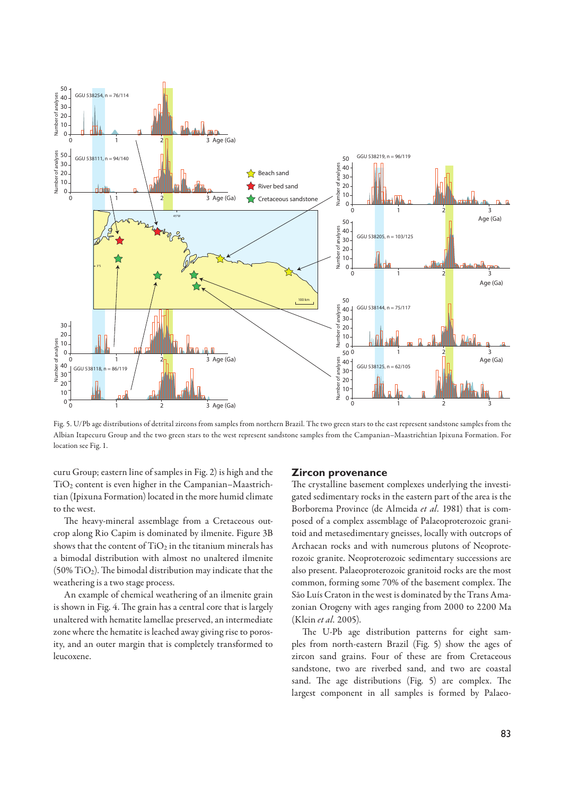

Fig. 5. U/Pb age distributions of detrital zircons from samples from northern Brazil. The two green stars to the east represent sandstone samples from the Albian Itapecuru Group and the two green stars to the west represent sandstone samples from the Campanian–Maastrichtian Ipixuna Formation. For location see Fig. 1.

curu Group; eastern line of samples in Fig. 2) is high and the TiO2 content is even higher in the Campanian–Maastrichtian (Ipixuna Formation) located in the more humid climate to the west.

The heavy-mineral assemblage from a Cretaceous outcrop along Rio Capim is dominated by ilmenite. Figure 3B shows that the content of  $TiO<sub>2</sub>$  in the titanium minerals has a bimodal distribution with almost no unaltered ilmenite  $(50\%$  TiO<sub>2</sub>). The bimodal distribution may indicate that the weathering is a two stage process.

 An example of chemical weathering of an ilmenite grain is shown in Fig. 4. The grain has a central core that is largely unaltered with hematite lamellae preserved, an intermediate zone where the hematite is leached away giving rise to porosity, and an outer margin that is completely transformed to leucoxene.

#### **Zircon provenance**

The crystalline basement complexes underlying the investigated sedimentary rocks in the eastern part of the area is the Borborema Province (de Almeida *et al.* 1981) that is composed of a complex assemblage of Palaeoproterozoic granitoid and metasedimentary gneisses, locally with outcrops of Archaean rocks and with numerous plutons of Neoproterozoic granite. Neoproterozoic sedimentary successions are also present. Palaeoproterozoic granitoid rocks are the most common, forming some 70% of the basement complex. The São Luís Craton in the west is dominated by the Trans Amazonian Orogeny with ages ranging from 2000 to 2200 Ma (Klein *et al.* 2005).

The U-Pb age distribution patterns for eight samples from north-eastern Brazil (Fig. 5) show the ages of zircon sand grains. Four of these are from Cretaceous sandstone, two are riverbed sand, and two are coastal sand. The age distributions (Fig. 5) are complex. The largest component in all samples is formed by Palaeo